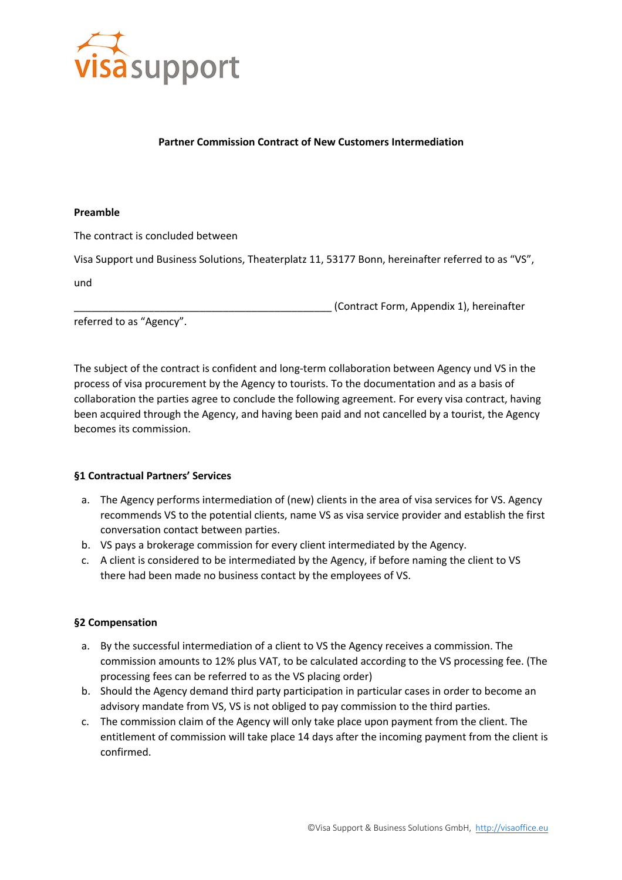

#### **Partner Commission Contract of New Customers Intermediation**

#### **Preamble**

The contract is concluded between

Visa Support und Business Solutions, Theaterplatz 11, 53177 Bonn, hereinafter referred to as "VS",

und

\_\_\_\_\_\_\_\_\_\_\_\_\_\_\_\_\_\_\_\_\_\_\_\_\_\_\_\_\_\_\_\_\_\_\_\_\_\_\_\_\_\_\_\_\_ (Contract Form, Appendix 1), hereinafter

referred to as "Agency".

The subject of the contract is confident and long-term collaboration between Agency und VS in the process of visa procurement by the Agency to tourists. To the documentation and as a basis of collaboration the parties agree to conclude the following agreement. For every visa contract, having been acquired through the Agency, and having been paid and not cancelled by a tourist, the Agency becomes its commission.

## **§1 Contractual Partners' Services**

- a. The Agency performs intermediation of (new) clients in the area of visa services for VS. Agency recommends VS to the potential clients, name VS as visa service provider and establish the first conversation contact between parties.
- b. VS pays a brokerage commission for every client intermediated by the Agency.
- c. A client is considered to be intermediated by the Agency, if before naming the client to VS there had been made no business contact by the employees of VS.

## **§2 Compensation**

- a. By the successful intermediation of a client to VS the Agency receives a commission. The commission amounts to 12% plus VAT, to be calculated according to the VS processing fee. (The processing fees can be referred to as the VS placing order)
- b. Should the Agency demand third party participation in particular cases in order to become an advisory mandate from VS, VS is not obliged to pay commission to the third parties.
- c. The commission claim of the Agency will only take place upon payment from the client. The entitlement of commission will take place 14 days after the incoming payment from the client is confirmed.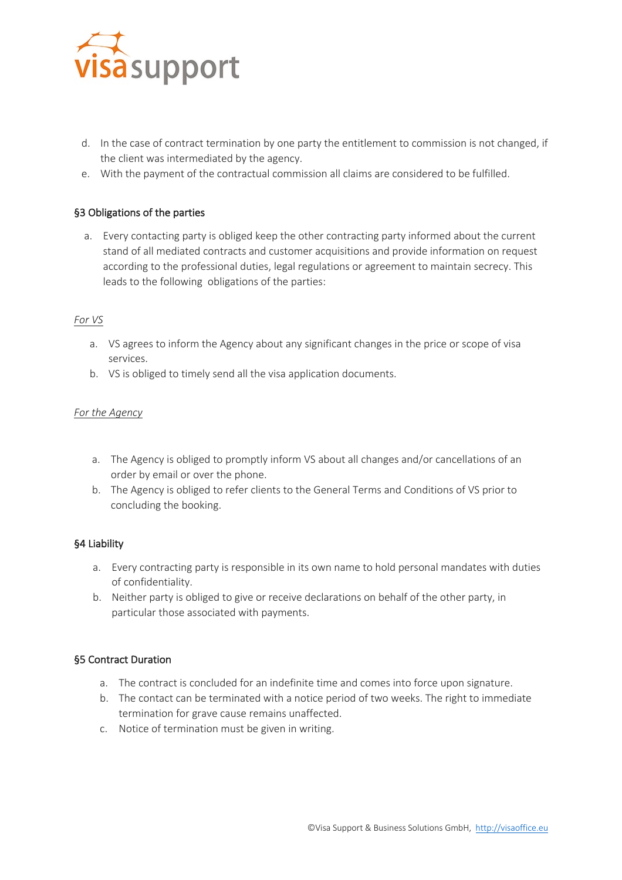

- d. In the case of contract termination by one party the entitlement to commission is not changed, if the client was intermediated by the agency.
- e. With the payment of the contractual commission all claims are considered to be fulfilled.

# §3 Obligations of the parties

a. Every contacting party is obliged keep the other contracting party informed about the current stand of all mediated contracts and customer acquisitions and provide information on request according to the professional duties, legal regulations or agreement to maintain secrecy. This leads to the following obligations of the parties:

## *For VS*

- a. VS agrees to inform the Agency about any significant changes in the price or scope of visa services.
- b. VS is obliged to timely send all the visa application documents.

## *For the Agency*

- a. The Agency is obliged to promptly inform VS about all changes and/or cancellations of an order by email or over the phone.
- b. The Agency is obliged to refer clients to the General Terms and Conditions of VS prior to concluding the booking.

## §4 Liability

- a. Every contracting party is responsible in its own name to hold personal mandates with duties of confidentiality.
- b. Neither party is obliged to give or receive declarations on behalf of the other party, in particular those associated with payments.

## §5 Contract Duration

- a. The contract is concluded for an indefinite time and comes into force upon signature.
- b. The contact can be terminated with a notice period of two weeks. The right to immediate termination for grave cause remains unaffected.
- c. Notice of termination must be given in writing.